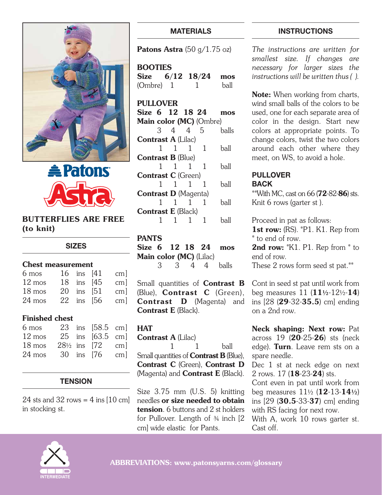



## BUTTERFLIES ARE FREE (to knit)

#### **SIZES**

#### Chest measurement

|  | cm <sub>l</sub>                                          |
|--|----------------------------------------------------------|
|  | cm <sub>l</sub>                                          |
|  | cm <sub>l</sub>                                          |
|  | cm <sub>l</sub>                                          |
|  | 16 ins [41]<br>18 ins [45]<br>20 ins [51]<br>22 ins [56] |

## Finished chest

| 6 mos            |                          | 23 ins [58.5 cm] |                        |
|------------------|--------------------------|------------------|------------------------|
| 12 mos           |                          | 25 ins [63.5 cm] |                        |
| $18 \text{ mos}$ | $28\frac{1}{2}$ ins [72] |                  | $\lfloor$ cm $\rfloor$ |
| $24 \text{ mos}$ |                          | 30 ins [76]      | cm <sup>1</sup>        |

## **TENSION**

24 sts and 32 rows =  $4$  ins [10 cm] in stocking st.

# **MATERIALS**

Patons Astra  $(50 \text{ g}/1.75 \text{ oz})$ 

**BOOTIES** Size 6/12 18/24 mos (Ombre) 1 1 ball

#### PULLOVER

Size 6 12 18 24 mos Main color (MC) (Ombre) 3 4 4 5 balls Contrast A (Lilac) 1 1 1 1 ball Contrast B (Blue) 1 1 1 1 ball Contrast C (Green) 1 1 1 1 ball Contrast D (Magenta) 1 1 1 1 ball Contrast E (Black) 1 1 1 1 ball

## PANTS

Size 6 12 18 24 mos Main color (MC) (Lilac) 3 3 4 4 balls

Small quantities of **Contrast B** (Blue), Contrast C (Green), Contrast D (Magenta) and Contrast E (Black).

## **HAT**

Contrast A (Lilac) 1 1 ball Small quantities of **Contrast B** (Blue), Contrast C (Green), Contrast D  $(Maqenta)$  and **Contrast E** (Black).

Size 3.75 mm (U.S. 5) knitting needles or size needed to obtain tension. 6 buttons and 2 st holders for Pullover. Length of ¾ inch [2 cm] wide elastic for Pants.

## **INSTRUCTIONS**

*The instructions are written for smallest size. If changes are necessary for larger sizes the instructions will be written thus ( ).*

Note: When working from charts, wind small balls of the colors to be used, one for each separate area of color in the design. Start new colors at appropriate points. To change colors, twist the two colors around each other where they meet, on WS, to avoid a hole.

#### **PULLOVER BACK**

\*\*With MC, cast on 66 (72-82-86) sts. Knit 6 rows (garter st ).

Proceed in pat as follows: 1st row: (RS). \*P1. K1. Rep from \* to end of row.

2nd row: \*K1. P1. Rep from \* to end of row. These 2 rows form seed st pat.\*\*

Cont in seed st pat until work from beg measures 11 (11**½**-12½-14) ins [28 (29-32-35.5) cm] ending on a 2nd row.

Neck shaping: Next row: Pat across 19 (20-25-26) sts (neck edge). Turn. Leave rem sts on a spare needle.

Dec 1 st at neck edge on next 2 rows. 17 (18-23-24) sts.

Cont even in pat until work from beg measures 11½ (12-13-14**½**) ins [29 (30.5-33-37) cm] ending with RS facing for next row.

With A, work 10 rows garter st. Cast off.

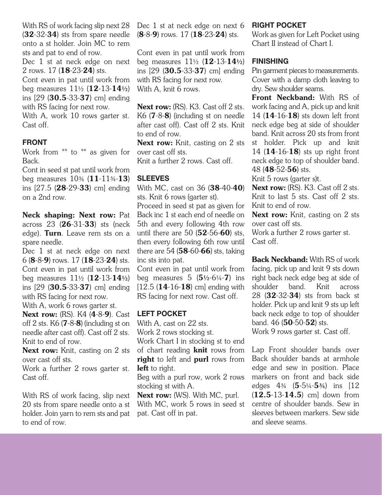With RS of work facing slip next 28 (32-32-34) sts from spare needle onto a st holder. Join MC to rem sts and pat to end of row.

Dec 1 st at neck edge on next 2 rows. 17 (18-23-24) sts.

Cont even in pat until work from beg measures 11½ (12-13-14**½**) ins [29 (30.5-33-37) cm] ending with RS facing for next row.

With A, work 10 rows garter st. Cast off.

## **FRONT**

Work from \*\* to \*\* as given for Back.

Cont in seed st pat until work from beg measures  $10<sup>3</sup>/<sub>4</sub> (11<sup>-11</sup><sub>3</sub>/<sub>4</sub> - 13)$ ins [27.5 (28-29-33) cm] ending on a 2nd row.

Neck shaping: Next row: Pat across 23 (26-31-33) sts (neck edge). Turn. Leave rem sts on a spare needle.

Dec 1 st at neck edge on next 6 (8-8-9) rows. 17 (18-23-24) sts. Cont even in pat until work from beg measures 11½ (12-13-14**½**) ins [29 (30.5-33-37) cm] ending with RS facing for next row.

With A, work 6 rows garter st.

**Next row:** (RS). K4 (**4-8-9**). Cast off 2 sts.  $K6$  ( $7 - 8 - 8$ ) (including st on needle after cast off). Cast off 2 sts. Knit to end of row.

Next row: Knit, casting on 2 sts over cast off sts.

Work a further 2 rows garter st. Cast off.

With RS of work facing, slip next 20 sts from spare needle onto a st holder. Join yarn to rem sts and pat to end of row.

Dec 1 st at neck edge on next 6 (8-8-9) rows. 17 (18-23-24) sts.

Cont even in pat until work from beg measures 11½ (12-13-14**½**) ins [29 (30.5-33-37) cm] ending with RS facing for next row. With A, knit 6 rows.

Next row: (RS). K3. Cast off 2 sts. K6 (7-8-8) (including st on needle after cast off). Cast off 2 sts. Knit to end of row.

Next row: Knit, casting on 2 sts over cast off sts.

Knit a further 2 rows. Cast off.

## **SLEEVES**

With MC, cast on 36 (38-40-40) sts. Knit 6 rows (garter st).

Proceed in seed st pat as given for Back inc 1 st each end of needle on 5th and every following 4th row until there are 50  $(52-56-60)$  sts, then every following 6th row until there are 54  $(58-60-66)$  sts, taking inc sts into pat.

Cont even in pat until work from beg measures 5 (5**½**-6¼-7) ins  $[12.5 (14-16-18)$  cm] ending with RS facing for next row. Cast off.

#### **LEFT POCKET**

With A, cast on 22 sts.

Work 2 rows stocking st.

Work Chart I in stocking st to end

of chart reading **knit** rows from right to left and purl rows from left to right.

Beg with a purl row, work 2 rows stocking st with A.

Next row: (WS). With MC, purl. With MC, work 5 rows in seed st pat. Cast off in pat.

#### **RIGHT POCKET**

Work as given for Left Pocket using Chart II instead of Chart I.

## **FINISHING**

Pin garment pieces to measurements. Cover with a damp cloth leaving to dry. Sew shoulder seams.

Front Neckband: With RS of work facing and A, pick up and knit 14 (14-16-18) sts down left front neck edge beg at side of shoulder band. Knit across 20 sts from front st holder. Pick up and knit 14 (14-16-18) sts up right front neck edge to top of shoulder band. 48 (48-52-56) sts.

Knit 5 rows (garter s)t.

Next row: (RS). K3. Cast off 2 sts. Knit to last 5 sts. Cast off 2 sts. Knit to end of row.

Next row: Knit, casting on 2 sts over cast off sts.

Work a further 2 rows garter st. Cast off.

Back Neckband: With RS of work facing, pick up and knit 9 sts down right back neck edge beg at side of shoulder band. Knit across 28 (32-32-34) sts from back st holder. Pick up and knit 9 sts up left back neck edge to top of shoulder band. 46 (50-50-52) sts.

Work 9 rows garter st. Cast off.

Lap Front shoulder bands over Back shoulder bands at armhole edge and sew in position. Place markers on front and back side edges 4¾ (5-5¼-5**¾**) ins [12 (12.5-13-14.5) cm] down from centre of shoulder bands. Sew in sleeves between markers. Sew side and sleeve seams.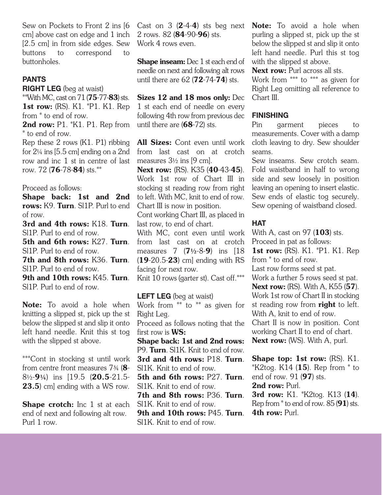Sew on Pockets to Front 2 ins [6 cm] above cast on edge and 1 inch [2.5 cm] in from side edges. Sew buttons to correspond to buttonholes.

## **PANTS**

**RIGHT LEG** (beg at waist)

\*\*With MC, cast on  $71$  (75-77-83) sts. 1st row: (RS). K1. \*P1. K1. Rep from \* to end of row.

2nd row: P1. \*K1. P1. Rep from \* to end of row.

Rep these 2 rows (K1. P1) ribbing for 2¼ ins [5.5 cm] ending on a 2nd row and inc 1 st in centre of last row. 72 (76-78-84) sts.\*\*

#### Proceed as follows:

Shape back: 1st and 2nd rows: K9. Turn. Sl1P. Purl to end of row.

3rd and 4th rows: K18. Turn. Sl1P. Purl to end of row.

5th and 6th rows: K27. Turn. Sl1P. Purl to end of row.

7th and 8th rows: K36. Turn. Sl1P. Purl to end of row.

9th and 10th rows: K45. Turn. Sl1P. Purl to end of row.

Note: To avoid a hole when knitting a slipped st, pick up the st below the slipped st and slip it onto left hand needle. Knit this st tog with the slipped st above.

\*\*\*Cont in stocking st until work from centre front measures 7¾ (8- 8½-9**¼**) ins [19.5 (20.5-21.5- 23.5) cm] ending with a WS row.

Shape crotch: Inc 1 st at each end of next and following alt row. Purl 1 row.

Cast on  $3(2-4-4)$  sts beg next 2 rows. 82 (84-90-96) sts. Work 4 rows even.

Shape inseam: Dec 1 st each end of needle on next and following alt rows until there are  $62 (72 - 74 - 74)$  sts.

Sizes 12 and 18 mos only: Dec 1 st each end of needle on every following 4th row from previous dec until there are (68-72) sts.

All Sizes: Cont even until work from last cast on at crotch measures  $3\frac{1}{2}$  ins [9 cm].

Next row: (RS). K35 (**40**-43-**45**). Work 1st row of Chart III in stocking st reading row from right to left. With MC, knit to end of row. Chart III is now in position.

Cont working Chart III, as placed in last row, to end of chart.

With MC, cont even until work from last cast on at crotch measures 7 (7**½**-8-9) ins [18 (19-20.5-23) cm] ending with RS facing for next row.

Knit 10 rows (garter st). Cast off.\*\*\*

**LEFT LEG** (beg at waist) Work from \*\* to \*\* as given for Right Leg. Proceed as follows noting that the first row is WS: Shape back: 1st and 2nd rows: P9. Turn. Sl1K. Knit to end of row. 3rd and 4th rows: P18. Turn. Sl1K. Knit to end of row. 5th and 6th rows: P27. Turn. Sl1K. Knit to end of row. 7th and 8th rows: P36. Turn. Sl1K. Knit to end of row. 9th and 10th rows: P45. Turn. Sl1K. Knit to end of row.

Note: To avoid a hole when purling a slipped st, pick up the st below the slipped st and slip it onto left hand needle. Purl this st tog with the slipped st above.

Next row: Purl across all sts. Work from \*\*\* to \*\*\* as given for Right Leg omitting all reference to Chart III.

## **FINISHING**

Pin garment pieces to measurements. Cover with a damp cloth leaving to dry. Sew shoulder seams.

Sew inseams. Sew crotch seam. Fold waistband in half to wrong side and sew loosely in position leaving an opening to insert elastic. Sew ends of elastic tog securely. Sew opening of waistband closed.

## **HAT**

With A, cast on 97 (**103**) sts. Proceed in pat as follows:

**1st row:** (RS). K1. \*P1. K1. Rep from \* to end of row.

Last row forms seed st pat.

Work a further 5 rows seed st pat. **Next row:** (RS). With A, K55 (57). Work 1st row of Chart II in stocking st reading row from right to left. With A, knit to end of row. Chart II is now in position. Cont

working Chart II to end of chart. Next row: (WS). With A, purl.

Shape top: 1st row: (RS). K1.  $*$ K2tog. K14 (15). Rep from  $*$  to end of row. 91 (97) sts. 2nd row: Purl.

3rd row: K1. \*K2tog. K13 (14). Rep from  $*$  to end of row. 85 (91) sts. 4th row: Purl.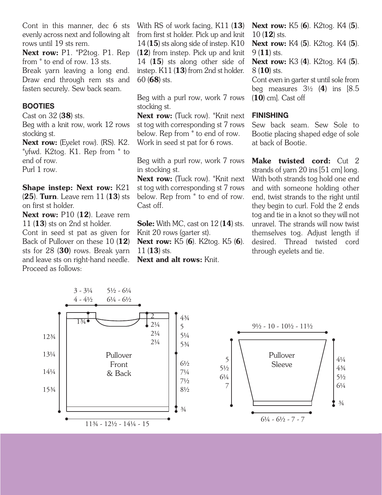Cont in this manner, dec 6 sts evenly across next and following alt rows until 19 sts rem.

Next row: P1. \*P2tog. P1. Rep from \* to end of row. 13 sts. Break yarn leaving a long end. Draw end through rem sts and fasten securely. Sew back seam.

#### **BOOTIES**

Cast on 32 (38) sts.

Beg with a knit row, work 12 rows stocking st.

Next row: (Eyelet row). (RS). K2. \*yfwd. K2tog. K1. Rep from \* to end of row. Purl 1 row.

Shape instep: Next row: K21  $(25)$ . Turn. Leave rem 11 $(13)$  sts on first st holder.

Next row: P10 (12). Leave rem 11 (13) sts on 2nd st holder.

Cont in seed st pat as given for Back of Pullover on these 10 (12) sts for 28 (30) rows. Break yarn and leave sts on right-hand needle. Proceed as follows:

With RS of work facing, K11 (13) from first st holder. Pick up and knit 14 (15) sts along side of instep.  $K10$ (12) from instep. Pick up and knit 14 (15) sts along other side of instep. K11 (13) from 2nd st holder. 60 (68) sts.

Beg with a purl row, work 7 rows stocking st.

Next row: (Tuck row). \*Knit next st tog with corresponding st 7 rows below. Rep from \* to end of row. Work in seed st pat for 6 rows.

Beg with a purl row, work 7 rows in stocking st.

Next row: (Tuck row). \*Knit next st tog with corresponding st 7 rows below. Rep from \* to end of row. Cast off.

Sole: With MC, cast on 12 (14) sts. Knit 20 rows (garter st).

**Next row:** K5 (6). K2tog. K5 (6).  $11$  (13) sts.

Next and alt rows: Knit.

**Next row:** K5 (**6**). K2tog. K4 (**5**).  $10(12)$  sts.

**Next row:** K4 (5). K2tog. K4 (5).  $9(11)$  sts.

Next row: K3 (4). K2tog. K4 (5). 8 (10) sts.

Cont even in garter st until sole from beg measures  $3\frac{1}{2}$  (4) ins [8.5]  $(10)$  cml. Cast off

#### **FINISHING**

Sew back seam. Sew Sole to Bootie placing shaped edge of sole at back of Bootie.

Make twisted cord: Cut 2 strands of yarn 20 ins [51 cm] long. With both strands tog hold one end and with someone holding other end, twist strands to the right until they begin to curl. Fold the 2 ends tog and tie in a knot so they will not unravel. The strands will now twist themselves tog. Adjust length if desired. Thread twisted cord through eyelets and tie.